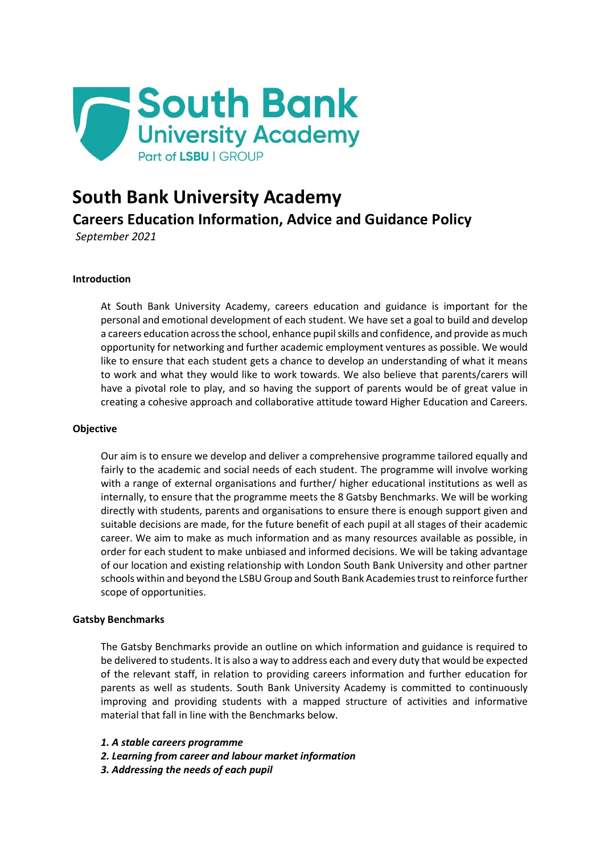

# **South Bank University Academy**

**Careers Education Information, Advice and Guidance Policy**

*September 2021*

## **Introduction**

At South Bank University Academy, careers education and guidance is important for the personal and emotional development of each student. We have set a goal to build and develop a careers education across the school, enhance pupil skills and confidence, and provide as much opportunity for networking and further academic employment ventures as possible. We would like to ensure that each student gets a chance to develop an understanding of what it means to work and what they would like to work towards. We also believe that parents/carers will have a pivotal role to play, and so having the support of parents would be of great value in creating a cohesive approach and collaborative attitude toward Higher Education and Careers.

## **Objective**

Our aim is to ensure we develop and deliver a comprehensive programme tailored equally and fairly to the academic and social needs of each student. The programme will involve working with a range of external organisations and further/ higher educational institutions as well as internally, to ensure that the programme meets the 8 Gatsby Benchmarks. We will be working directly with students, parents and organisations to ensure there is enough support given and suitable decisions are made, for the future benefit of each pupil at all stages of their academic career. We aim to make as much information and as many resources available as possible, in order for each student to make unbiased and informed decisions. We will be taking advantage of our location and existing relationship with London South Bank University and other partner schools within and beyond the LSBU Group and South Bank Academies trust to reinforce further scope of opportunities.

## **Gatsby Benchmarks**

The Gatsby Benchmarks provide an outline on which information and guidance is required to be delivered to students. It is also a way to address each and every duty that would be expected of the relevant staff, in relation to providing careers information and further education for parents as well as students. South Bank University Academy is committed to continuously improving and providing students with a mapped structure of activities and informative material that fall in line with the Benchmarks below.

- *1. A stable careers programme*
- *2. Learning from career and labour market information*
- *3. Addressing the needs of each pupil*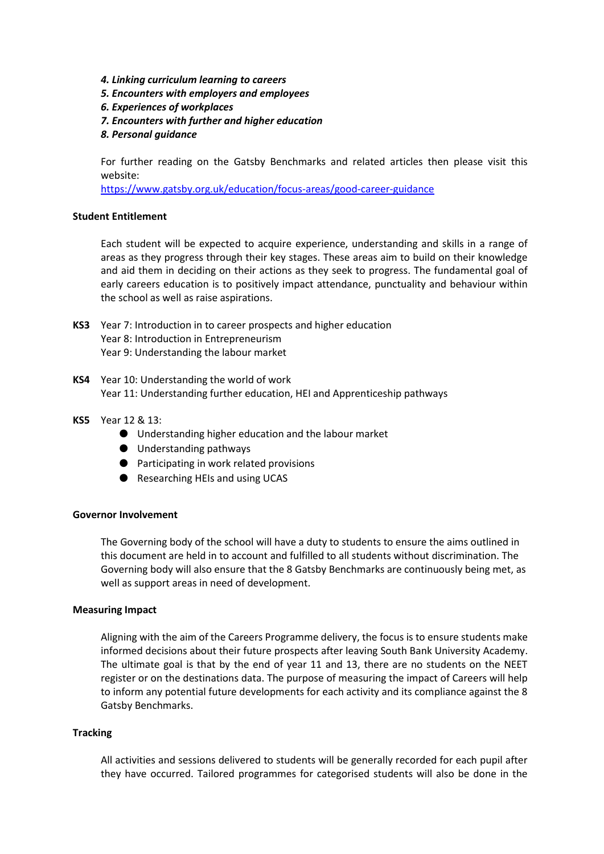- *4. Linking curriculum learning to careers*
- *5. Encounters with employers and employees*
- *6. Experiences of workplaces*
- *7. Encounters with further and higher education*
- *8. Personal guidance*

For further reading on the Gatsby Benchmarks and related articles then please visit this website:

https://www.gatsby.org.uk/education/focus-areas/good-career-guidance

#### **Student Entitlement**

Each student will be expected to acquire experience, understanding and skills in a range of areas as they progress through their key stages. These areas aim to build on their knowledge and aid them in deciding on their actions as they seek to progress. The fundamental goal of early careers education is to positively impact attendance, punctuality and behaviour within the school as well as raise aspirations.

- **KS3** Year 7: Introduction in to career prospects and higher education Year 8: Introduction in Entrepreneurism Year 9: Understanding the labour market
- **KS4** Year 10: Understanding the world of work Year 11: Understanding further education, HEI and Apprenticeship pathways
- **KS5** Year 12 & 13:
	- Understanding higher education and the labour market
	- Understanding pathways
	- Participating in work related provisions
	- Researching HEIs and using UCAS

#### **Governor Involvement**

The Governing body of the school will have a duty to students to ensure the aims outlined in this document are held in to account and fulfilled to all students without discrimination. The Governing body will also ensure that the 8 Gatsby Benchmarks are continuously being met, as well as support areas in need of development.

#### **Measuring Impact**

Aligning with the aim of the Careers Programme delivery, the focus is to ensure students make informed decisions about their future prospects after leaving South Bank University Academy. The ultimate goal is that by the end of year 11 and 13, there are no students on the NEET register or on the destinations data. The purpose of measuring the impact of Careers will help to inform any potential future developments for each activity and its compliance against the 8 Gatsby Benchmarks.

#### **Tracking**

All activities and sessions delivered to students will be generally recorded for each pupil after they have occurred. Tailored programmes for categorised students will also be done in the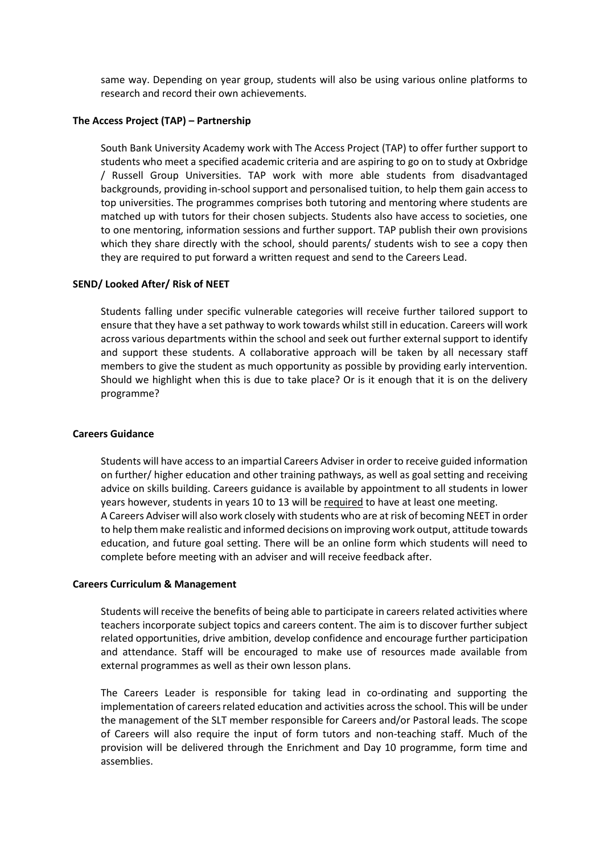same way. Depending on year group, students will also be using various online platforms to research and record their own achievements.

#### **The Access Project (TAP) – Partnership**

South Bank University Academy work with The Access Project (TAP) to offer further support to students who meet a specified academic criteria and are aspiring to go on to study at Oxbridge / Russell Group Universities. TAP work with more able students from disadvantaged backgrounds, providing in-school support and personalised tuition, to help them gain access to top universities. The programmes comprises both tutoring and mentoring where students are matched up with tutors for their chosen subjects. Students also have access to societies, one to one mentoring, information sessions and further support. TAP publish their own provisions which they share directly with the school, should parents/ students wish to see a copy then they are required to put forward a written request and send to the Careers Lead.

#### **SEND/ Looked After/ Risk of NEET**

Students falling under specific vulnerable categories will receive further tailored support to ensure that they have a set pathway to work towards whilst still in education. Careers will work across various departments within the school and seek out further external support to identify and support these students. A collaborative approach will be taken by all necessary staff members to give the student as much opportunity as possible by providing early intervention. Should we highlight when this is due to take place? Or is it enough that it is on the delivery programme?

#### **Careers Guidance**

Students will have access to an impartial Careers Adviser in order to receive guided information on further/ higher education and other training pathways, as well as goal setting and receiving advice on skills building. Careers guidance is available by appointment to all students in lower years however, students in years 10 to 13 will be required to have at least one meeting. A Careers Adviser will also work closely with students who are at risk of becoming NEET in order to help them make realistic and informed decisions on improving work output, attitude towards education, and future goal setting. There will be an online form which students will need to complete before meeting with an adviser and will receive feedback after.

#### **Careers Curriculum & Management**

Students will receive the benefits of being able to participate in careers related activities where teachers incorporate subject topics and careers content. The aim is to discover further subject related opportunities, drive ambition, develop confidence and encourage further participation and attendance. Staff will be encouraged to make use of resources made available from external programmes as well as their own lesson plans.

The Careers Leader is responsible for taking lead in co-ordinating and supporting the implementation of careers related education and activities across the school. This will be under the management of the SLT member responsible for Careers and/or Pastoral leads. The scope of Careers will also require the input of form tutors and non-teaching staff. Much of the provision will be delivered through the Enrichment and Day 10 programme, form time and assemblies.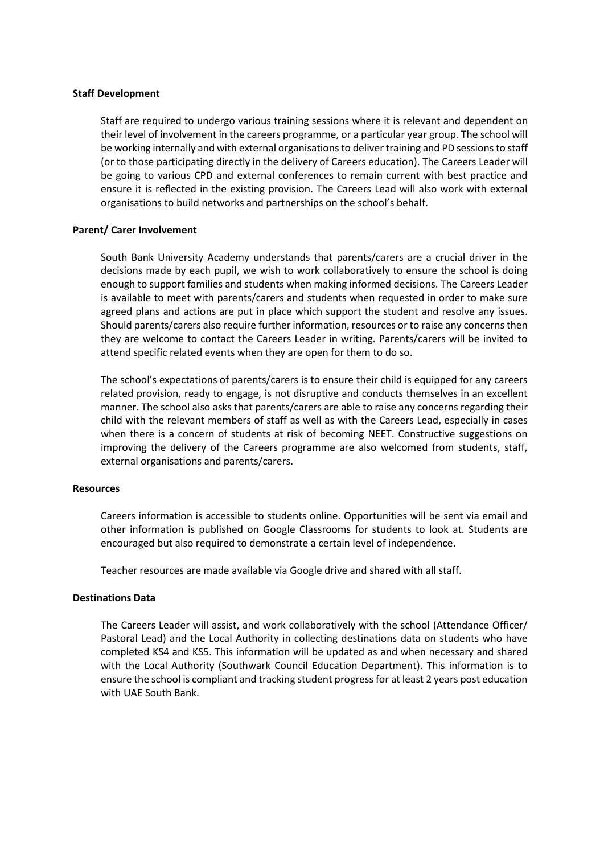#### **Staff Development**

Staff are required to undergo various training sessions where it is relevant and dependent on their level of involvement in the careers programme, or a particular year group. The school will be working internally and with external organisations to deliver training and PD sessions to staff (or to those participating directly in the delivery of Careers education). The Careers Leader will be going to various CPD and external conferences to remain current with best practice and ensure it is reflected in the existing provision. The Careers Lead will also work with external organisations to build networks and partnerships on the school's behalf.

### **Parent/ Carer Involvement**

South Bank University Academy understands that parents/carers are a crucial driver in the decisions made by each pupil, we wish to work collaboratively to ensure the school is doing enough to support families and students when making informed decisions. The Careers Leader is available to meet with parents/carers and students when requested in order to make sure agreed plans and actions are put in place which support the student and resolve any issues. Should parents/carers also require further information, resources or to raise any concerns then they are welcome to contact the Careers Leader in writing. Parents/carers will be invited to attend specific related events when they are open for them to do so.

The school's expectations of parents/carers is to ensure their child is equipped for any careers related provision, ready to engage, is not disruptive and conducts themselves in an excellent manner. The school also asks that parents/carers are able to raise any concerns regarding their child with the relevant members of staff as well as with the Careers Lead, especially in cases when there is a concern of students at risk of becoming NEET. Constructive suggestions on improving the delivery of the Careers programme are also welcomed from students, staff, external organisations and parents/carers.

#### **Resources**

Careers information is accessible to students online. Opportunities will be sent via email and other information is published on Google Classrooms for students to look at. Students are encouraged but also required to demonstrate a certain level of independence.

Teacher resources are made available via Google drive and shared with all staff.

#### **Destinations Data**

The Careers Leader will assist, and work collaboratively with the school (Attendance Officer/ Pastoral Lead) and the Local Authority in collecting destinations data on students who have completed KS4 and KS5. This information will be updated as and when necessary and shared with the Local Authority (Southwark Council Education Department). This information is to ensure the school is compliant and tracking student progress for at least 2 years post education with UAE South Bank.